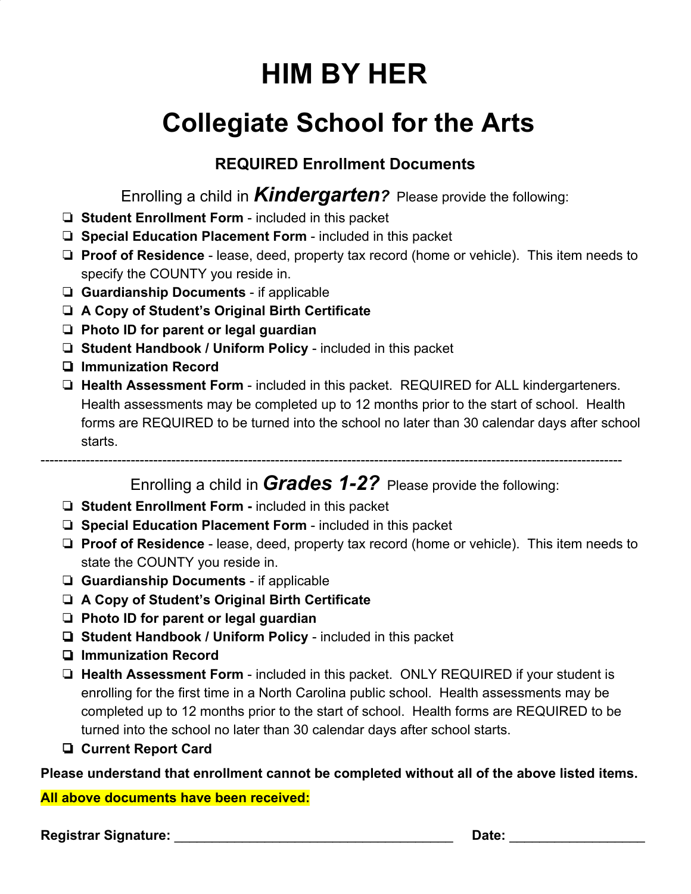## **Collegiate School for the Arts**

### **REQUIRED Enrollment Documents**

Enrolling a child in *Kindergarten?* Please provide the following:

- ❏ **Student Enrollment Form**  included in this packet
- ❏ **Special Education Placement Form**  included in this packet
- ❏ **Proof of Residence**  lease, deed, property tax record (home or vehicle). This item needs to specify the COUNTY you reside in.
- ❏ **Guardianship Documents**  if applicable
- ❏ **A Copy of Student's Original Birth Certificate**
- ❏ **Photo ID for parent or legal guardian**
- ❏ **Student Handbook / Uniform Policy**  included in this packet
- ❏ **Immunization Record**
- ❏ **Health Assessment Form**  included in this packet. REQUIRED for ALL kindergarteners. Health assessments may be completed up to 12 months prior to the start of school. Health forms are REQUIRED to be turned into the school no later than 30 calendar days after school starts.

---------------------------------------------------------------------------------------------------------------------------------

Enrolling a child in *Grades 1-2?* Please provide the following:

- ❏ **Student Enrollment Form -** included in this packet
- ❏ **Special Education Placement Form**  included in this packet
- ❏ **Proof of Residence**  lease, deed, property tax record (home or vehicle). This item needs to state the COUNTY you reside in.
- ❏ **Guardianship Documents** if applicable
- ❏ **A Copy of Student's Original Birth Certificate**
- ❏ **Photo ID for parent or legal guardian**
- ❏ **Student Handbook / Uniform Policy**  included in this packet
- ❏ **Immunization Record**
- ❏ **Health Assessment Form** included in this packet. ONLY REQUIRED if your student is enrolling for the first time in a North Carolina public school. Health assessments may be completed up to 12 months prior to the start of school. Health forms are REQUIRED to be turned into the school no later than 30 calendar days after school starts.
- ❏ **Current Report Card**

**Please understand that enrollment cannot be completed without all of the above listed items.**

**All above documents have been received:**

**Registrar Signature:** \_\_\_\_\_\_\_\_\_\_\_\_\_\_\_\_\_\_\_\_\_\_\_\_\_\_\_\_\_\_\_\_\_\_\_\_\_ **Date:** \_\_\_\_\_\_\_\_\_\_\_\_\_\_\_\_\_\_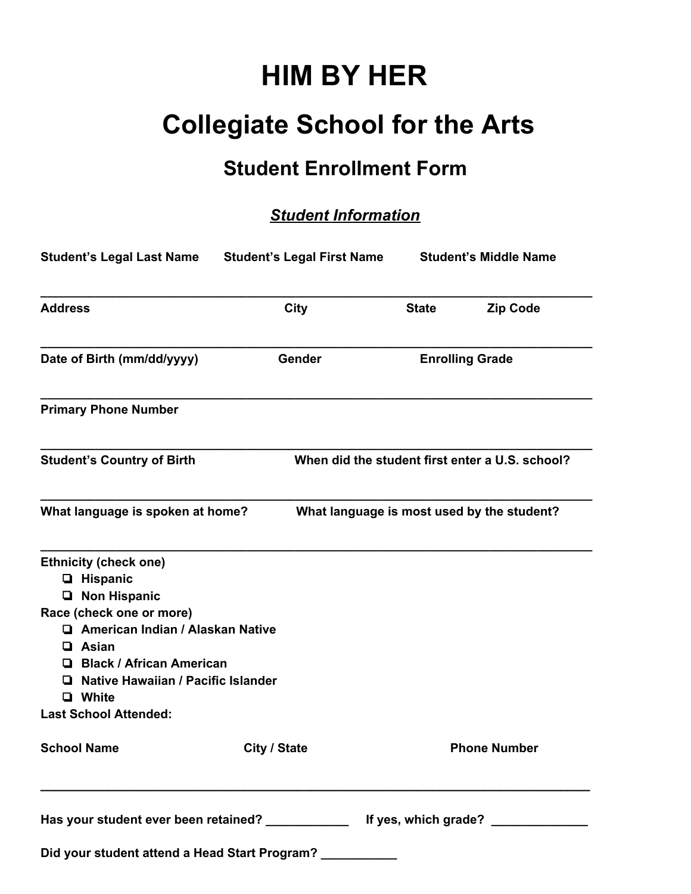### **Collegiate School for the Arts**

### **Student Enrollment Form**

### *Student Information*

|                                                                                                                                                                                                                                                                                            | Student's Legal Last Name Student's Legal First Name                                    |              | <b>Student's Middle Name</b>                    |
|--------------------------------------------------------------------------------------------------------------------------------------------------------------------------------------------------------------------------------------------------------------------------------------------|-----------------------------------------------------------------------------------------|--------------|-------------------------------------------------|
| <b>Address</b>                                                                                                                                                                                                                                                                             | City                                                                                    | <b>State</b> | <b>Zip Code</b>                                 |
| Date of Birth (mm/dd/yyyy)                                                                                                                                                                                                                                                                 | Gender                                                                                  |              | <b>Enrolling Grade</b>                          |
| <b>Primary Phone Number</b>                                                                                                                                                                                                                                                                |                                                                                         |              |                                                 |
| <b>Student's Country of Birth</b>                                                                                                                                                                                                                                                          |                                                                                         |              | When did the student first enter a U.S. school? |
| What language is spoken at home?                                                                                                                                                                                                                                                           | What language is most used by the student?                                              |              |                                                 |
| <b>Ethnicity (check one)</b><br>$\Box$ Hispanic<br><b>Non Hispanic</b><br>Ч.<br>Race (check one or more)<br>American Indian / Alaskan Native<br>$\Box$ Asian<br><b>El Black / African American</b><br>Native Hawaiian / Pacific Islander<br><b>Q</b> White<br><b>Last School Attended:</b> |                                                                                         |              |                                                 |
| <b>School Name</b>                                                                                                                                                                                                                                                                         | City / State                                                                            |              | <b>Phone Number</b>                             |
|                                                                                                                                                                                                                                                                                            | Has your student ever been retained? ________________ If yes, which grade? ____________ |              |                                                 |
|                                                                                                                                                                                                                                                                                            | Did your student attend a Head Start Program? ___________                               |              |                                                 |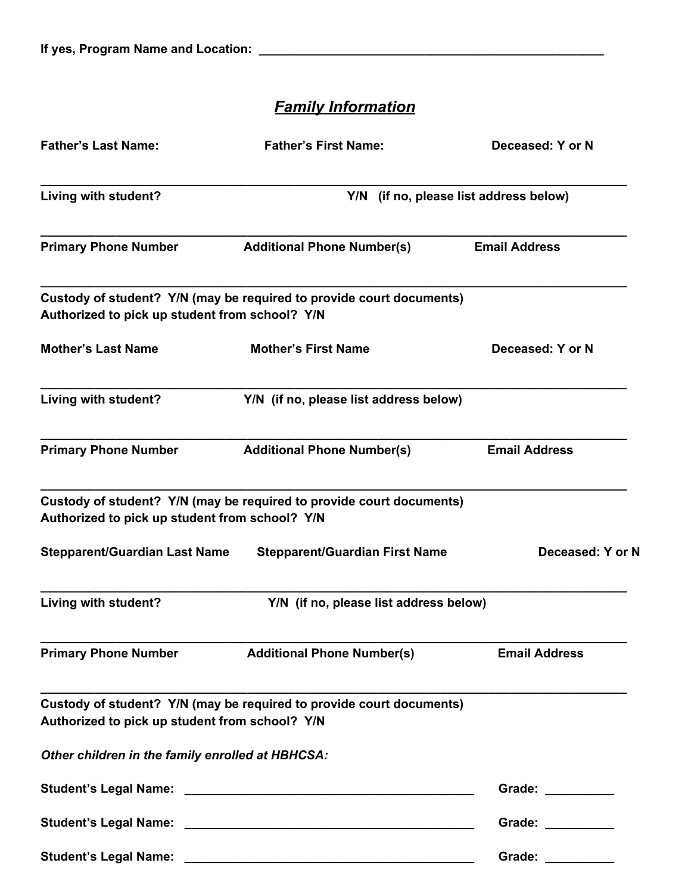### *Family Information*

| <b>Father's Last Name:</b>                       | <b>Father's First Name:</b>                                          | Deceased: Y or N                                                                                                                                                                                                              |
|--------------------------------------------------|----------------------------------------------------------------------|-------------------------------------------------------------------------------------------------------------------------------------------------------------------------------------------------------------------------------|
| Living with student?                             |                                                                      | Y/N (if no, please list address below)                                                                                                                                                                                        |
| <b>Primary Phone Number</b>                      | <b>Additional Phone Number(s)</b>                                    | <b>Email Address</b>                                                                                                                                                                                                          |
| Authorized to pick up student from school? Y/N   | Custody of student? Y/N (may be required to provide court documents) |                                                                                                                                                                                                                               |
| <b>Mother's Last Name</b>                        | <b>Mother's First Name</b>                                           | Deceased: Y or N                                                                                                                                                                                                              |
| Living with student?                             | Y/N (if no, please list address below)                               |                                                                                                                                                                                                                               |
| <b>Primary Phone Number</b>                      | <b>Additional Phone Number(s)</b>                                    | <b>Email Address</b>                                                                                                                                                                                                          |
| Authorized to pick up student from school? Y/N   | Custody of student? Y/N (may be required to provide court documents) |                                                                                                                                                                                                                               |
| <b>Stepparent/Guardian Last Name</b>             | <b>Stepparent/Guardian First Name</b>                                | Deceased: Y or N                                                                                                                                                                                                              |
| Living with student?                             | Y/N (if no, please list address below)                               |                                                                                                                                                                                                                               |
| <b>Primary Phone Number</b>                      | <b>Additional Phone Number(s)</b>                                    | <b>Email Address</b>                                                                                                                                                                                                          |
| Authorized to pick up student from school? Y/N   | Custody of student? Y/N (may be required to provide court documents) |                                                                                                                                                                                                                               |
| Other children in the family enrolled at HBHCSA: |                                                                      |                                                                                                                                                                                                                               |
|                                                  |                                                                      | Grade: Canadian Control of the Control of the Control of the Control of the Control of the Control of the Control of the Control of the Control of the Control of the Control of the Control of the Control of the Control of |
|                                                  |                                                                      | Grade: __________                                                                                                                                                                                                             |
|                                                  |                                                                      | Grade: _________                                                                                                                                                                                                              |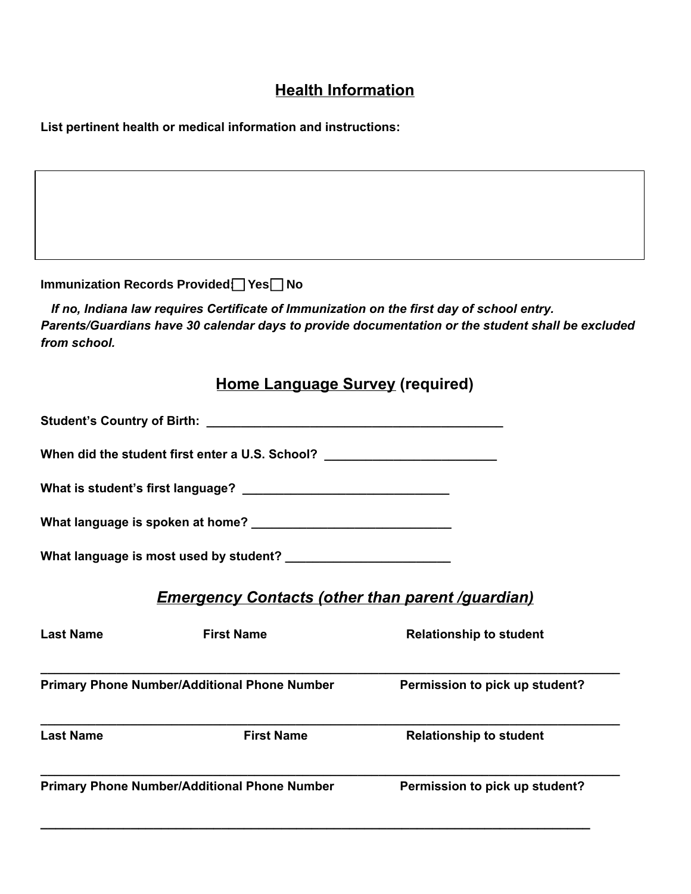### **Health Information**

**List pertinent health or medical information and instructions:**

<u> 1980 - Johann Barn, mars ann an t-Amhain Aonaich an t-Aonaich an t-Aonaich ann an t-Aonaich ann an t-Aonaich</u>

|                  | Immunization Records Provided   Yes   No                                                  |                                                                                                   |
|------------------|-------------------------------------------------------------------------------------------|---------------------------------------------------------------------------------------------------|
| from school.     | If no, Indiana law requires Certificate of Immunization on the first day of school entry. | Parents/Guardians have 30 calendar days to provide documentation or the student shall be excluded |
|                  | <b>Home Language Survey (required)</b>                                                    |                                                                                                   |
|                  |                                                                                           |                                                                                                   |
|                  | When did the student first enter a U.S. School?                                           |                                                                                                   |
|                  |                                                                                           |                                                                                                   |
|                  |                                                                                           |                                                                                                   |
|                  |                                                                                           |                                                                                                   |
|                  | <b>Emergency Contacts (other than parent /guardian)</b>                                   |                                                                                                   |
| <b>Last Name</b> | <b>First Name</b>                                                                         | <b>Relationship to student</b>                                                                    |
|                  | <b>Primary Phone Number/Additional Phone Number</b>                                       | Permission to pick up student?                                                                    |
| <b>Last Name</b> | <b>First Name</b>                                                                         | <b>Relationship to student</b>                                                                    |
|                  | <b>Primary Phone Number/Additional Phone Number</b>                                       | Permission to pick up student?                                                                    |
|                  |                                                                                           |                                                                                                   |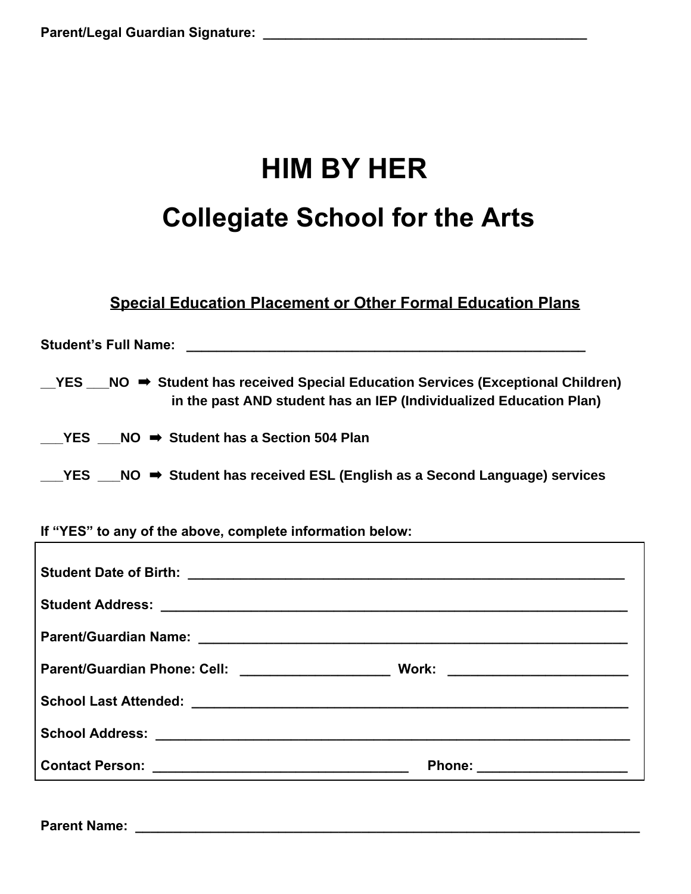# **HIM BY HER Collegiate School for the Arts**

#### **Special Education Placement or Other Formal Education Plans**

| <b>Student's Full Name:</b>                                                                                                                                                |
|----------------------------------------------------------------------------------------------------------------------------------------------------------------------------|
| $\text{YES}$ NO $\Rightarrow$ Student has received Special Education Services (Exceptional Children)<br>in the past AND student has an IEP (Individualized Education Plan) |
| YES $NO \rightarrow$ Student has a Section 504 Plan                                                                                                                        |
| $\text{PES}$ NO $\Rightarrow$ Student has received ESL (English as a Second Language) services                                                                             |

**If "YES" to any of the above, complete information below:**

| Phone: ________________________ |
|---------------------------------|
|                                 |

**Parent Name: \_\_\_\_\_\_\_\_\_\_\_\_\_\_\_\_\_\_\_\_\_\_\_\_\_\_\_\_\_\_\_\_\_\_\_\_\_\_\_\_\_\_\_\_\_\_\_\_\_\_\_\_\_\_\_\_\_\_\_\_\_\_\_\_\_\_\_**

 $\Gamma$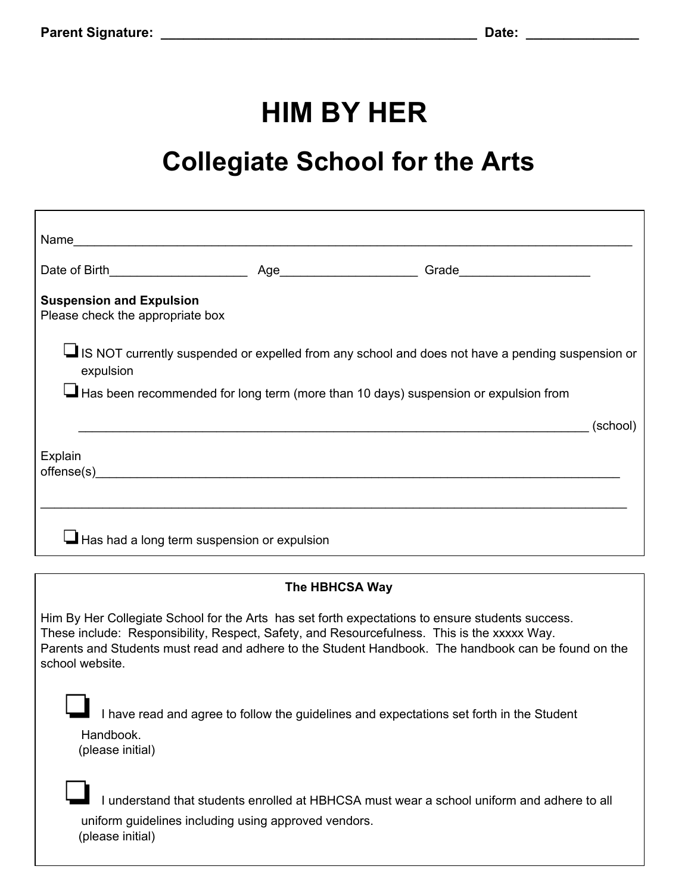## **Collegiate School for the Arts**

| Name                                                                                                                                                                                                                                                                                                                      |                |                                                                                          |          |
|---------------------------------------------------------------------------------------------------------------------------------------------------------------------------------------------------------------------------------------------------------------------------------------------------------------------------|----------------|------------------------------------------------------------------------------------------|----------|
|                                                                                                                                                                                                                                                                                                                           |                |                                                                                          |          |
| <b>Suspension and Expulsion</b><br>Please check the appropriate box                                                                                                                                                                                                                                                       |                |                                                                                          |          |
| IS NOT currently suspended or expelled from any school and does not have a pending suspension or<br>expulsion                                                                                                                                                                                                             |                |                                                                                          |          |
| Has been recommended for long term (more than 10 days) suspension or expulsion from                                                                                                                                                                                                                                       |                |                                                                                          |          |
|                                                                                                                                                                                                                                                                                                                           |                |                                                                                          | (school) |
| Explain<br>offense(s)                                                                                                                                                                                                                                                                                                     |                |                                                                                          |          |
|                                                                                                                                                                                                                                                                                                                           |                |                                                                                          |          |
| Has had a long term suspension or expulsion                                                                                                                                                                                                                                                                               |                |                                                                                          |          |
|                                                                                                                                                                                                                                                                                                                           | The HBHCSA Way |                                                                                          |          |
| Him By Her Collegiate School for the Arts has set forth expectations to ensure students success.<br>These include: Responsibility, Respect, Safety, and Resourcefulness. This is the xxxxx Way.<br>Parents and Students must read and adhere to the Student Handbook. The handbook can be found on the<br>school website. |                |                                                                                          |          |
| Handbook.<br>(please initial)                                                                                                                                                                                                                                                                                             |                | I have read and agree to follow the guidelines and expectations set forth in the Student |          |
|                                                                                                                                                                                                                                                                                                                           |                | understand that students enrolled at HBHCSA must wear a school uniform and adhere to all |          |

uniform guidelines including using approved vendors. (please initial)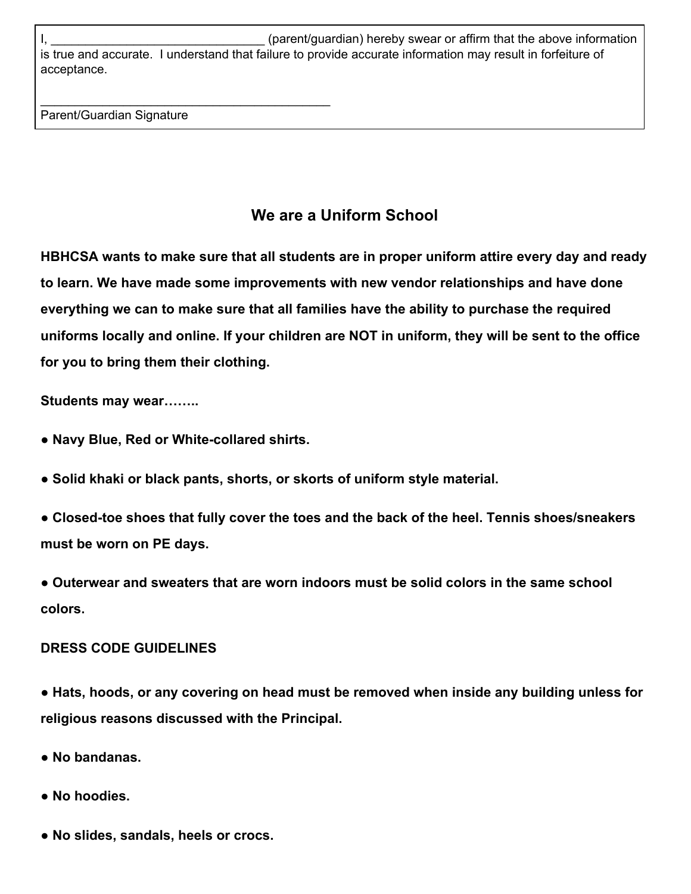I, Lettermonic the subset of the state of the state of the above information in the above information in the above information is true and accurate. I understand that failure to provide accurate information may result in forfeiture of acceptance.

Parent/Guardian Signature

\_\_\_\_\_\_\_\_\_\_\_\_\_\_\_\_\_\_\_\_\_\_\_\_\_\_\_\_\_\_\_\_\_\_\_\_\_\_\_\_\_\_

### **We are a Uniform School**

**HBHCSA wants to make sure that all students are in proper uniform attire every day and ready to learn. We have made some improvements with new vendor relationships and have done everything we can to make sure that all families have the ability to purchase the required uniforms locally and online. If your children are NOT in uniform, they will be sent to the office for you to bring them their clothing.**

**Students may wear……..**

- **Navy Blue, Red or White-collared shirts.**
- **Solid khaki or black pants, shorts, or skorts of uniform style material.**
- **Closed-toe shoes that fully cover the toes and the back of the heel. Tennis shoes/sneakers must be worn on PE days.**
- **Outerwear and sweaters that are worn indoors must be solid colors in the same school colors.**

#### **DRESS CODE GUIDELINES**

**● Hats, hoods, or any covering on head must be removed when inside any building unless for religious reasons discussed with the Principal.**

- **No bandanas.**
- **No hoodies.**
- **No slides, sandals, heels or crocs.**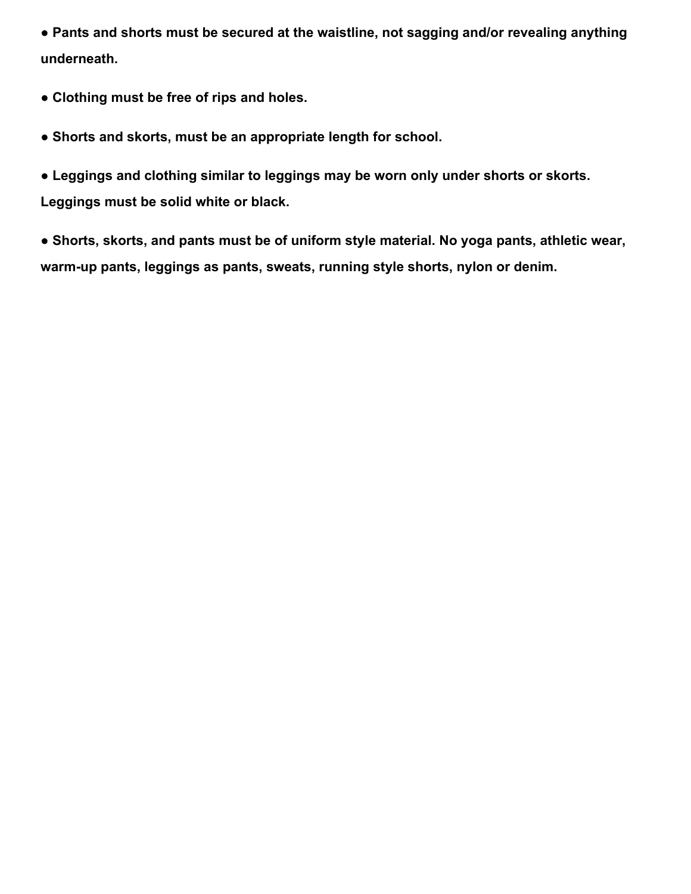**● Pants and shorts must be secured at the waistline, not sagging and/or revealing anything underneath.**

- **Clothing must be free of rips and holes.**
- **Shorts and skorts, must be an appropriate length for school.**

**● Leggings and clothing similar to leggings may be worn only under shorts or skorts. Leggings must be solid white or black.**

**● Shorts, skorts, and pants must be of uniform style material. No yoga pants, athletic wear, warm-up pants, leggings as pants, sweats, running style shorts, nylon or denim.**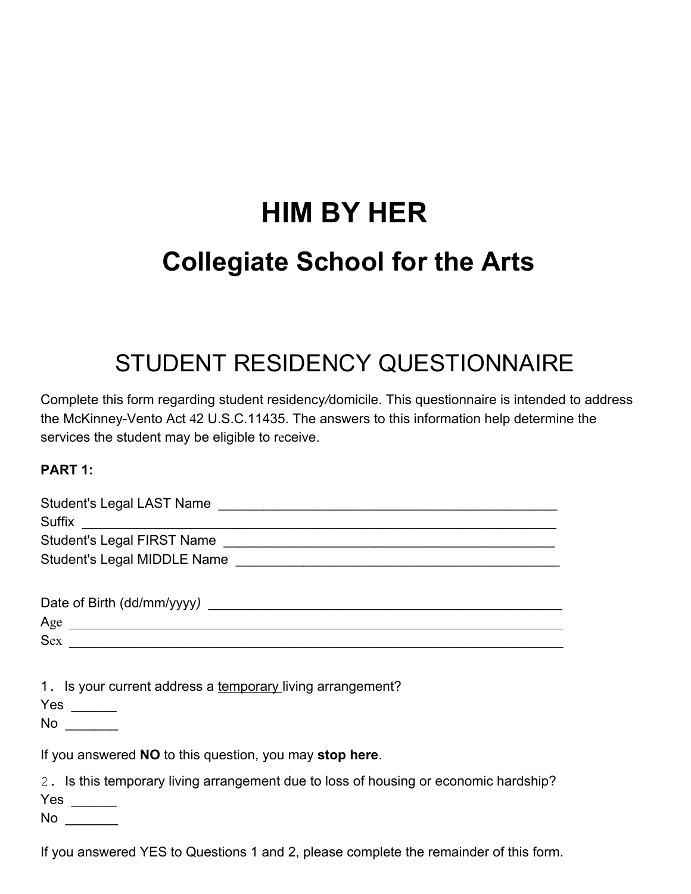# **HIM BY HER Collegiate School for the Arts**

### STUDENT RESIDENCY QUESTIONNAIRE

Complete this form regarding student residency*/*domicile. This questionnaire is intended to address the McKinney-Vento Act 42 U.S.C.11435. The answers to this information help determine the services the student may be eligible to receive.

#### **PART 1:**

| Sex                                                                                               |
|---------------------------------------------------------------------------------------------------|
| 1. Is your current address a temporary living arrangement?                                        |
| $No \ \_$                                                                                         |
| If you answered <b>NO</b> to this question, you may stop here.                                    |
| 2. Is this temporary living arrangement due to loss of housing or economic hardship?<br>$No \_\_$ |
| If you answered YES to Questions 1 and 2, please complete the remainder of this form.             |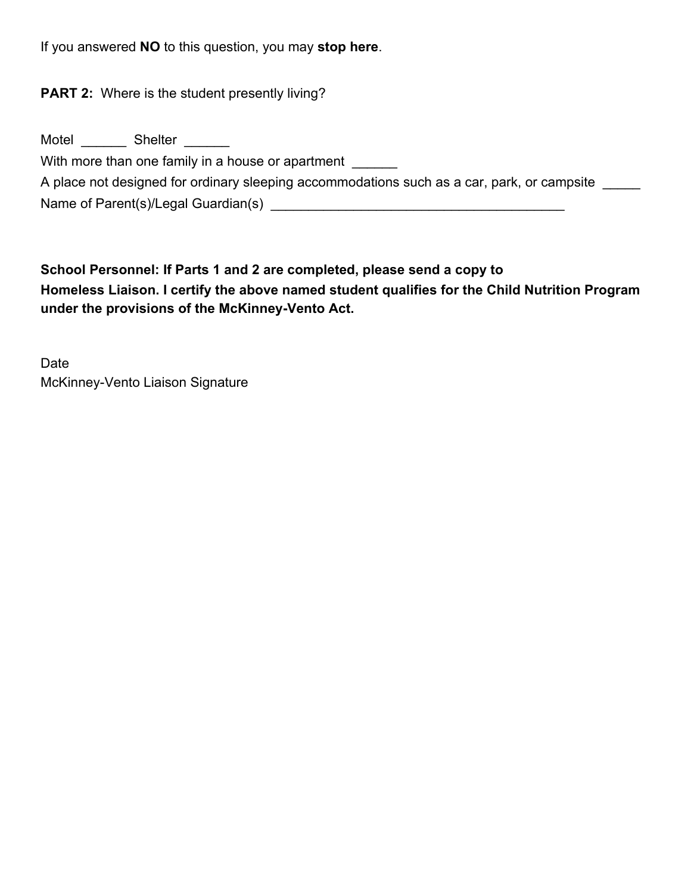If you answered **NO** to this question, you may **stop here**.

**PART 2:** Where is the student presently living?

| Motel | <b>Shelter</b>                                                                             |
|-------|--------------------------------------------------------------------------------------------|
|       | With more than one family in a house or apartment                                          |
|       | A place not designed for ordinary sleeping accommodations such as a car, park, or campsite |
|       | Name of Parent(s)/Legal Guardian(s)                                                        |

**School Personnel: If Parts 1 and 2 are completed, please send a copy to Homeless Liaison. I certify the above named student qualifies for the Child Nutrition Program under the provisions of the McKinney-Vento Act.**

Date McKinney-Vento Liaison Signature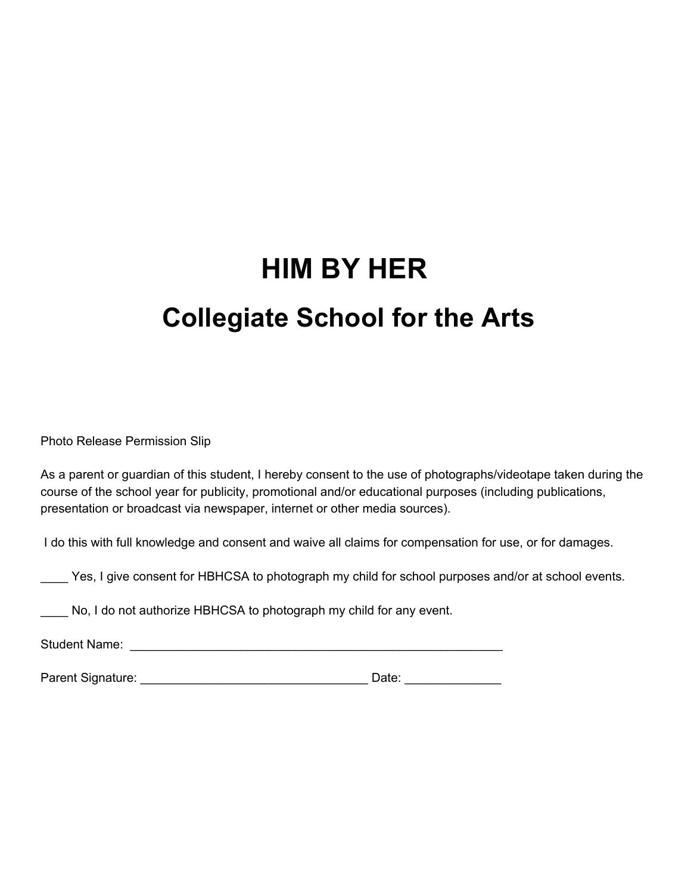# **HIM BY HER Collegiate School for the Arts**

Photo Release Permission Slip

As a parent or guardian of this student, I hereby consent to the use of photographs/videotape taken during the course of the school year for publicity, promotional and/or educational purposes (including publications, presentation or broadcast via newspaper, internet or other media sources).

I do this with full knowledge and consent and waive all claims for compensation for use, or for damages.

\_\_\_\_ Yes, I give consent for HBHCSA to photograph my child for school purposes and/or at school events.

\_\_\_\_ No, I do not authorize HBHCSA to photograph my child for any event.

Student Name: \_\_\_\_\_\_\_\_\_\_\_\_\_\_\_\_\_\_\_\_\_\_\_\_\_\_\_\_\_\_\_\_\_\_\_\_\_\_\_\_\_\_\_\_\_\_\_\_\_\_\_\_\_\_

Parent Signature: \_\_\_\_\_\_\_\_\_\_\_\_\_\_\_\_\_\_\_\_\_\_\_\_\_\_\_\_\_\_\_\_\_ Date: \_\_\_\_\_\_\_\_\_\_\_\_\_\_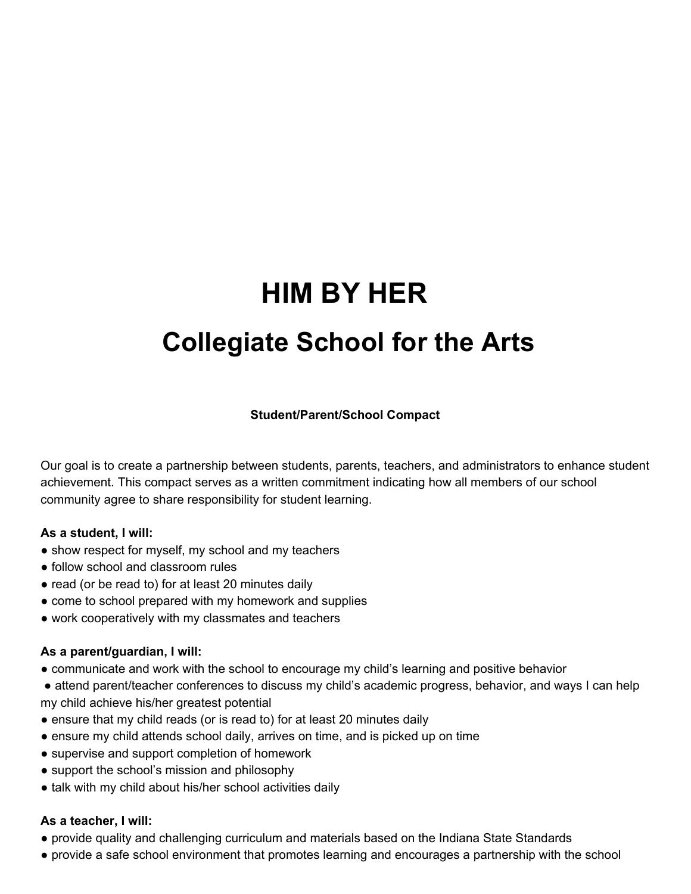## **Collegiate School for the Arts**

#### **Student/Parent/School Compact**

Our goal is to create a partnership between students, parents, teachers, and administrators to enhance student achievement. This compact serves as a written commitment indicating how all members of our school community agree to share responsibility for student learning.

#### **As a student, I will:**

- show respect for myself, my school and my teachers
- follow school and classroom rules
- read (or be read to) for at least 20 minutes daily
- come to school prepared with my homework and supplies
- work cooperatively with my classmates and teachers

#### **As a parent/guardian, I will:**

- communicate and work with the school to encourage my child's learning and positive behavior
- attend parent/teacher conferences to discuss my child's academic progress, behavior, and ways I can help my child achieve his/her greatest potential
- ensure that my child reads (or is read to) for at least 20 minutes daily
- ensure my child attends school daily, arrives on time, and is picked up on time
- supervise and support completion of homework
- support the school's mission and philosophy
- talk with my child about his/her school activities daily

#### **As a teacher, I will:**

- provide quality and challenging curriculum and materials based on the Indiana State Standards
- provide a safe school environment that promotes learning and encourages a partnership with the school